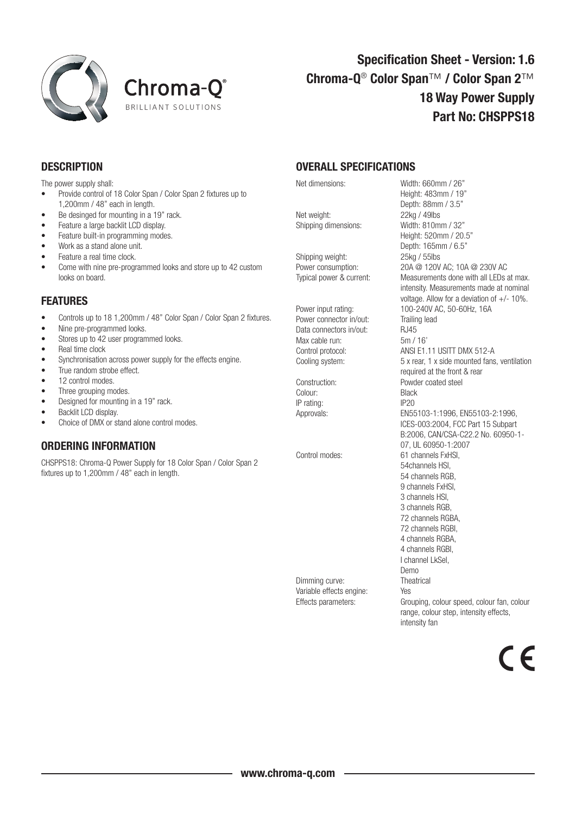



## Specification Sheet - Version: 1.6 Chroma-Q® Color Span™ / Color Span 2™ 18 Way Power Supply Part No: CHSPPS18

## **DESCRIPTION**

The power supply shall:

- • Provide control of 18 Color Span / Color Span 2 fixtures up to 1,200mm / 48" each in length.
- Be desinged for mounting in a 19" rack.
- Feature a large backlit LCD display.
- Feature built-in programming modes.
- Work as a stand alone unit.
- Feature a real time clock.
- Come with nine pre-programmed looks and store up to 42 custom looks on board.

## FEATURES

- Controls up to 18 1.200mm / 48" Color Span / Color Span 2 fixtures.
- Nine pre-programmed looks.
- Stores up to 42 user programmed looks.
- Real time clock
- Synchronisation across power supply for the effects engine.
- True random strobe effect.
- 12 control modes.
- Three grouping modes.
- Designed for mounting in a 19" rack.
- Backlit LCD display.
- Choice of DMX or stand alone control modes.

## ORDERING INFORMATION

CHSPPS18: Chroma-Q Power Supply for 18 Color Span / Color Span 2 fixtures up to 1,200mm / 48" each in length.

OVERALL SPECIFICATIONS

Net weight: 22kg / 49lbs Shipping dimensions: Width: 810mm / 32"

Shipping weight: 25kg / 55lbs

Power connector in/out: Trailing lead Data connectors in/out: RJ45 Max cable run: 5m / 16'

Colour: Black IP rating: IP20

Net dimensions: Width: 660mm / 26" Height: 483mm / 19" Depth: 88mm / 3.5" Height: 520mm / 20.5" Depth: 165mm / 6.5" Power consumption: 20A @ 120V AC; 10A @ 230V AC Typical power & current: Measurements done with all LEDs at max. intensity. Measurements made at nominal voltage. Allow for a deviation of +/- 10%. Power input rating: 100-240V AC, 50-60Hz, 16A Control protocol: ANSI E1.11 USITT DMX 512-A Cooling system: 5 x rear, 1 x side mounted fans, ventilation required at the front & rear Construction: Powder coated steel Approvals: EN55103-1:1996, EN55103-2:1996, ICES-003:2004, FCC Part 15 Subpart B:2006, CAN/CSA-C22.2 No. 60950-1- 07, UL 60950-1:2007 Control modes: 61 channels FxHSI, 54channels HSI, 54 channels RGB, 9 channels FxHSI, 3 channels HSI, 3 channels RGB, 72 channels RGBA, 72 channels RGBI, 4 channels RGBA, 4 channels RGBI, I channel LkSel, Demo Dimming curve: Theatrical Variable effects engine: Yes<br>Effects parameters: Gro Grouping, colour speed, colour fan, colour range, colour step, intensity effects, intensity fan

7 E